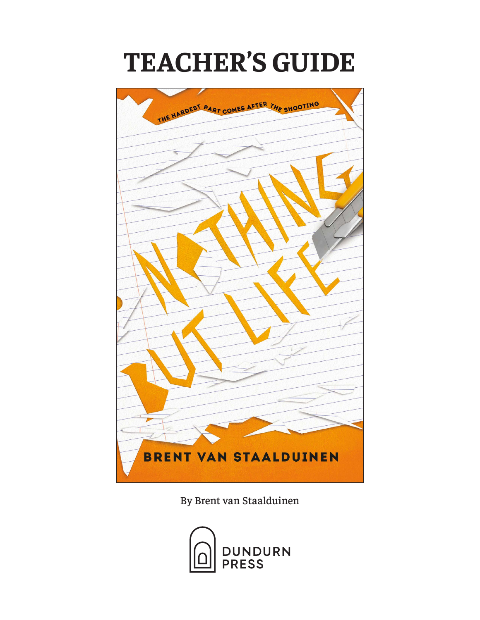# **TEACHER'S GUIDE**



By Brent van Staalduinen

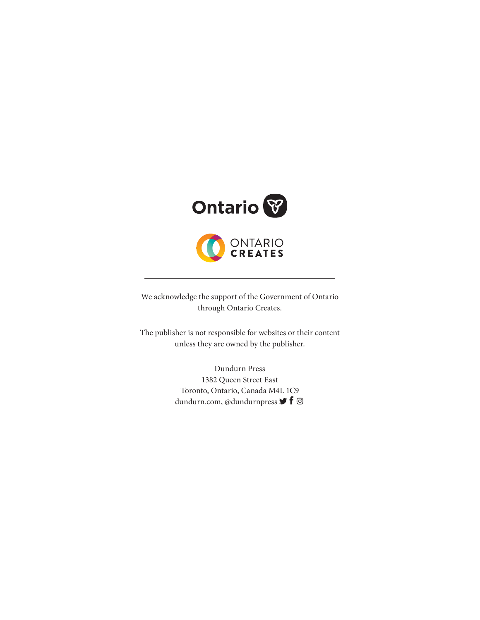

We acknowledge the support of the Government of Ontario through Ontario Creates.

The publisher is not responsible for websites or their content unless they are owned by the publisher.

> Dundurn Press 1382 Queen Street East Toronto, Ontario, Canada M4L 1C9 dundurn.com, @dundurnpress  $\blacktriangleright$  f  $\textcircled{\scriptsize{}}$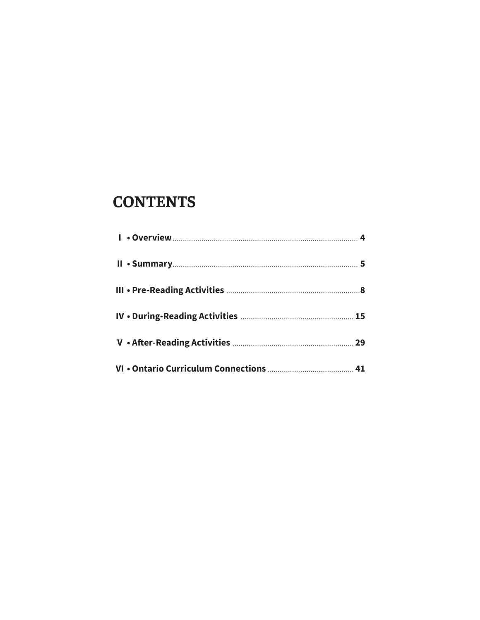## **CONTENTS**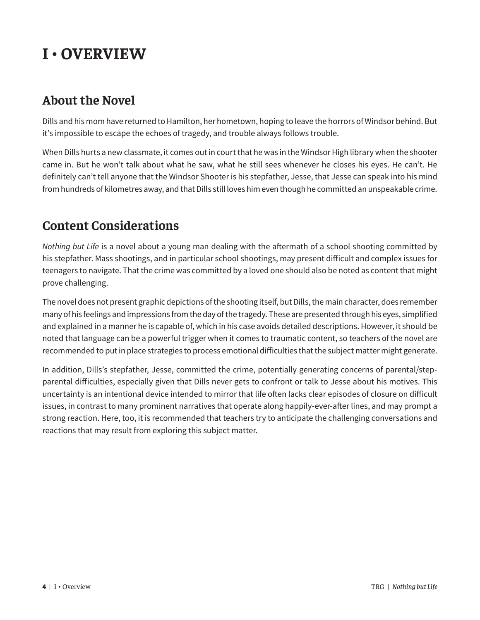# **I • OVERVIEW**

### **About the Novel**

Dills and his mom have returned to Hamilton, her hometown, hoping to leave the horrors of Windsor behind. But it's impossible to escape the echoes of tragedy, and trouble always follows trouble.

When Dills hurts a new classmate, it comes out in court that he was in the Windsor High library when the shooter came in. But he won't talk about what he saw, what he still sees whenever he closes his eyes. He can't. He definitely can't tell anyone that the Windsor Shooter is his stepfather, Jesse, that Jesse can speak into his mind from hundreds of kilometres away, and that Dills still loves him even though he committed an unspeakable crime.

### **Content Considerations**

*Nothing but Life* is a novel about a young man dealing with the aftermath of a school shooting committed by his stepfather. Mass shootings, and in particular school shootings, may present difficult and complex issues for teenagers to navigate. That the crime was committed by a loved one should also be noted as content that might prove challenging.

The novel does not present graphic depictions of the shooting itself, but Dills, the main character, does remember many of his feelings and impressions from the day of the tragedy. These are presented through his eyes, simplified and explained in a manner he is capable of, which in his case avoids detailed descriptions. However, it should be noted that language can be a powerful trigger when it comes to traumatic content, so teachers of the novel are recommended to put in place strategies to process emotional difficulties that the subject matter might generate.

In addition, Dills's stepfather, Jesse, committed the crime, potentially generating concerns of parental/stepparental difficulties, especially given that Dills never gets to confront or talk to Jesse about his motives. This uncertainty is an intentional device intended to mirror that life often lacks clear episodes of closure on difficult issues, in contrast to many prominent narratives that operate along happily-ever-after lines, and may prompt a strong reaction. Here, too, it is recommended that teachers try to anticipate the challenging conversations and reactions that may result from exploring this subject matter.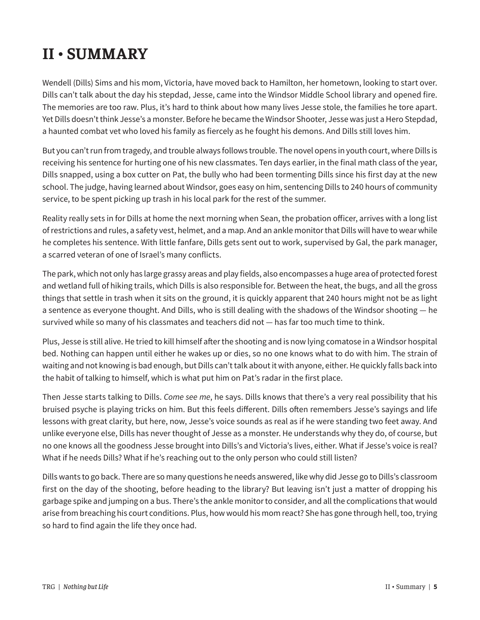# **II • SUMMARY**

Wendell (Dills) Sims and his mom, Victoria, have moved back to Hamilton, her hometown, looking to start over. Dills can't talk about the day his stepdad, Jesse, came into the Windsor Middle School library and opened fire. The memories are too raw. Plus, it's hard to think about how many lives Jesse stole, the families he tore apart. Yet Dills doesn't think Jesse's a monster. Before he became the Windsor Shooter, Jesse was just a Hero Stepdad, a haunted combat vet who loved his family as fiercely as he fought his demons. And Dills still loves him.

But you can't run from tragedy, and trouble always follows trouble. The novel opens in youth court, where Dills is receiving his sentence for hurting one of his new classmates. Ten days earlier, in the final math class of the year, Dills snapped, using a box cutter on Pat, the bully who had been tormenting Dills since his first day at the new school. The judge, having learned about Windsor, goes easy on him, sentencing Dills to 240 hours of community service, to be spent picking up trash in his local park for the rest of the summer.

Reality really sets in for Dills at home the next morning when Sean, the probation officer, arrives with a long list of restrictions and rules, a safety vest, helmet, and a map. And an ankle monitor that Dills will have to wear while he completes his sentence. With little fanfare, Dills gets sent out to work, supervised by Gal, the park manager, a scarred veteran of one of Israel's many conflicts.

The park, which not only has large grassy areas and play fields, also encompasses a huge area of protected forest and wetland full of hiking trails, which Dills is also responsible for. Between the heat, the bugs, and all the gross things that settle in trash when it sits on the ground, it is quickly apparent that 240 hours might not be as light a sentence as everyone thought. And Dills, who is still dealing with the shadows of the Windsor shooting — he survived while so many of his classmates and teachers did not — has far too much time to think.

Plus, Jesse is still alive. He tried to kill himself after the shooting and is now lying comatose in a Windsor hospital bed. Nothing can happen until either he wakes up or dies, so no one knows what to do with him. The strain of waiting and not knowing is bad enough, but Dills can't talk about it with anyone, either. He quickly falls back into the habit of talking to himself, which is what put him on Pat's radar in the first place.

Then Jesse starts talking to Dills. *Come see me*, he says. Dills knows that there's a very real possibility that his bruised psyche is playing tricks on him. But this feels different. Dills often remembers Jesse's sayings and life lessons with great clarity, but here, now, Jesse's voice sounds as real as if he were standing two feet away. And unlike everyone else, Dills has never thought of Jesse as a monster. He understands why they do, of course, but no one knows all the goodness Jesse brought into Dills's and Victoria's lives, either. What if Jesse's voice is real? What if he needs Dills? What if he's reaching out to the only person who could still listen?

Dills wants to go back. There are so many questions he needs answered, like why did Jesse go to Dills's classroom first on the day of the shooting, before heading to the library? But leaving isn't just a matter of dropping his garbage spike and jumping on a bus. There's the ankle monitor to consider, and all the complications that would arise from breaching his court conditions. Plus, how would his mom react? She has gone through hell, too, trying so hard to find again the life they once had.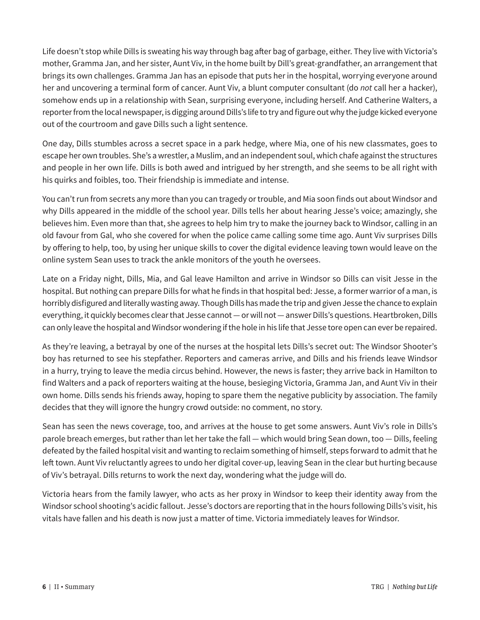Life doesn't stop while Dills is sweating his way through bag after bag of garbage, either. They live with Victoria's mother, Gramma Jan, and her sister, Aunt Viv, in the home built by Dill's great-grandfather, an arrangement that brings its own challenges. Gramma Jan has an episode that puts her in the hospital, worrying everyone around her and uncovering a terminal form of cancer. Aunt Viv, a blunt computer consultant (do *not* call her a hacker), somehow ends up in a relationship with Sean, surprising everyone, including herself. And Catherine Walters, a reporter from the local newspaper, is digging around Dills's life to try and figure out why the judge kicked everyone out of the courtroom and gave Dills such a light sentence.

One day, Dills stumbles across a secret space in a park hedge, where Mia, one of his new classmates, goes to escape her own troubles. She's a wrestler, a Muslim, and an independent soul, which chafe against the structures and people in her own life. Dills is both awed and intrigued by her strength, and she seems to be all right with his quirks and foibles, too. Their friendship is immediate and intense.

You can't run from secrets any more than you can tragedy or trouble, and Mia soon finds out about Windsor and why Dills appeared in the middle of the school year. Dills tells her about hearing Jesse's voice; amazingly, she believes him. Even more than that, she agrees to help him try to make the journey back to Windsor, calling in an old favour from Gal, who she covered for when the police came calling some time ago. Aunt Viv surprises Dills by offering to help, too, by using her unique skills to cover the digital evidence leaving town would leave on the online system Sean uses to track the ankle monitors of the youth he oversees.

Late on a Friday night, Dills, Mia, and Gal leave Hamilton and arrive in Windsor so Dills can visit Jesse in the hospital. But nothing can prepare Dills for what he finds in that hospital bed: Jesse, a former warrior of a man, is horribly disfigured and literally wasting away. Though Dills has made the trip and given Jesse the chance to explain everything, it quickly becomes clear that Jesse cannot — or will not — answer Dills's questions. Heartbroken, Dills can only leave the hospital and Windsor wondering if the hole in his life that Jesse tore open can ever be repaired.

As they're leaving, a betrayal by one of the nurses at the hospital lets Dills's secret out: The Windsor Shooter's boy has returned to see his stepfather. Reporters and cameras arrive, and Dills and his friends leave Windsor in a hurry, trying to leave the media circus behind. However, the news is faster; they arrive back in Hamilton to find Walters and a pack of reporters waiting at the house, besieging Victoria, Gramma Jan, and Aunt Viv in their own home. Dills sends his friends away, hoping to spare them the negative publicity by association. The family decides that they will ignore the hungry crowd outside: no comment, no story.

Sean has seen the news coverage, too, and arrives at the house to get some answers. Aunt Viv's role in Dills's parole breach emerges, but rather than let her take the fall — which would bring Sean down, too — Dills, feeling defeated by the failed hospital visit and wanting to reclaim something of himself, steps forward to admit that he left town. Aunt Viv reluctantly agrees to undo her digital cover-up, leaving Sean in the clear but hurting because of Viv's betrayal. Dills returns to work the next day, wondering what the judge will do.

Victoria hears from the family lawyer, who acts as her proxy in Windsor to keep their identity away from the Windsor school shooting's acidic fallout. Jesse's doctors are reporting that in the hours following Dills's visit, his vitals have fallen and his death is now just a matter of time. Victoria immediately leaves for Windsor.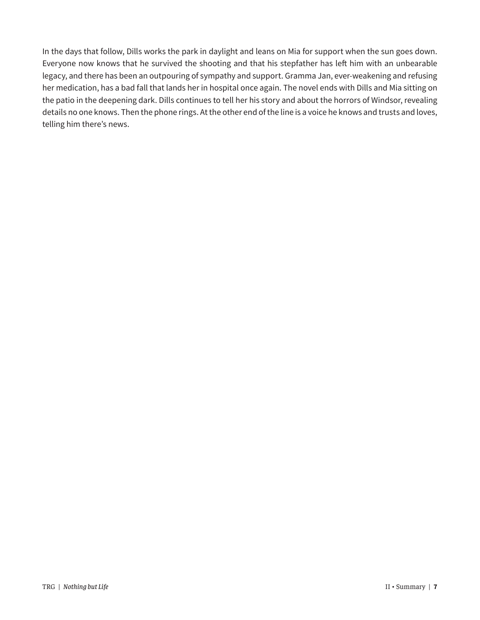In the days that follow, Dills works the park in daylight and leans on Mia for support when the sun goes down. Everyone now knows that he survived the shooting and that his stepfather has left him with an unbearable legacy, and there has been an outpouring of sympathy and support. Gramma Jan, ever-weakening and refusing her medication, has a bad fall that lands her in hospital once again. The novel ends with Dills and Mia sitting on the patio in the deepening dark. Dills continues to tell her his story and about the horrors of Windsor, revealing details no one knows. Then the phone rings. At the other end of the line is a voice he knows and trusts and loves, telling him there's news.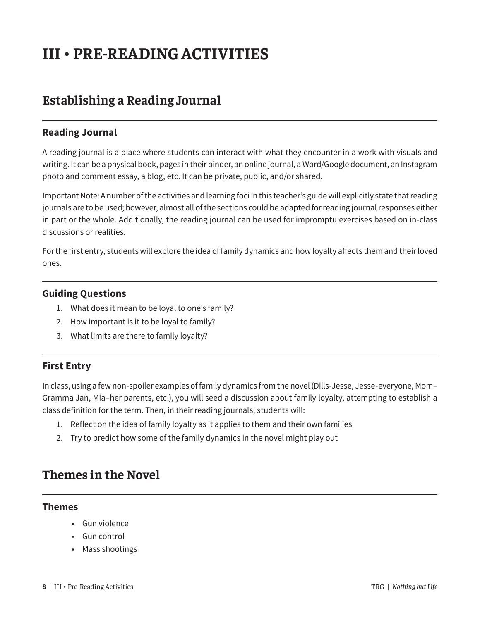# **III • PRE-READING ACTIVITIES**

### **Establishing a Reading Journal**

#### **Reading Journal**

A reading journal is a place where students can interact with what they encounter in a work with visuals and writing. It can be a physical book, pages in their binder, an online journal, a Word/Google document, an Instagram photo and comment essay, a blog, etc. It can be private, public, and/or shared.

Important Note: A number of the activities and learning foci in this teacher's guide will explicitly state that reading journals are to be used; however, almost all of the sections could be adapted for reading journal responses either in part or the whole. Additionally, the reading journal can be used for impromptu exercises based on in-class discussions or realities.

For the first entry, students will explore the idea of family dynamics and how loyalty affects them and their loved ones.

#### **Guiding Questions**

- 1. What does it mean to be loyal to one's family?
- 2. How important is it to be loyal to family?
- 3. What limits are there to family loyalty?

#### **First Entry**

In class, using a few non-spoiler examples of family dynamics from the novel (Dills-Jesse, Jesse-everyone, Mom– Gramma Jan, Mia–her parents, etc.), you will seed a discussion about family loyalty, attempting to establish a class definition for the term. Then, in their reading journals, students will:

- 1. Reflect on the idea of family loyalty as it applies to them and their own families
- 2. Try to predict how some of the family dynamics in the novel might play out

### **Themes in the Novel**

#### **Themes**

- Gun violence
- Gun control
- Mass shootings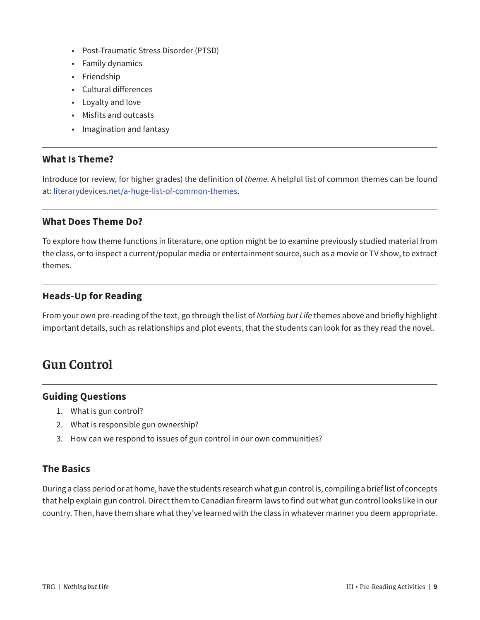- Post-Traumatic Stress Disorder (PTSD)
- Family dynamics
- Friendship
- Cultural differences
- Loyalty and love
- Misfits and outcasts
- Imagination and fantasy

#### **What Is Theme?**

Introduce (or review, for higher grades) the definition of *theme*. A helpful list of common themes can be found at: [literarydevices.net/a-huge-list-of-common-themes](https://literarydevices.net/a-huge-list-of-common-themes).

#### **What Does Theme Do?**

To explore how theme functions in literature, one option might be to examine previously studied material from the class, or to inspect a current/popular media or entertainment source, such as a movie or TV show, to extract themes.

#### **Heads-Up for Reading**

From your own pre-reading of the text, go through the list of *Nothing but Life* themes above and briefly highlight important details, such as relationships and plot events, that the students can look for as they read the novel.

### **Gun Control**

#### **Guiding Questions**

- 1. What is gun control?
- 2. What is responsible gun ownership?
- 3. How can we respond to issues of gun control in our own communities?

#### **The Basics**

During a class period or at home, have the students research what gun control is, compiling a brief list of concepts that help explain gun control. Direct them to Canadian firearm laws to find out what gun control looks like in our country. Then, have them share what they've learned with the class in whatever manner you deem appropriate.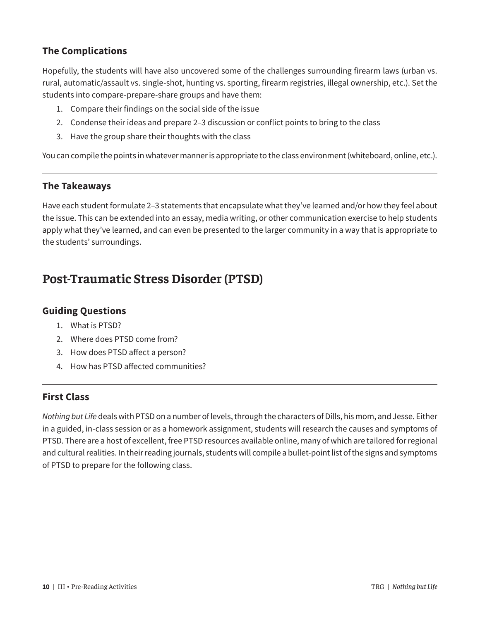#### **The Complications**

Hopefully, the students will have also uncovered some of the challenges surrounding firearm laws (urban vs. rural, automatic/assault vs. single-shot, hunting vs. sporting, firearm registries, illegal ownership, etc.). Set the students into compare-prepare-share groups and have them:

- 1. Compare their findings on the social side of the issue
- 2. Condense their ideas and prepare 2–3 discussion or conflict points to bring to the class
- 3. Have the group share their thoughts with the class

You can compile the points in whatever manner is appropriate to the class environment (whiteboard, online, etc.).

#### **The Takeaways**

Have each student formulate 2–3 statements that encapsulate what they've learned and/or how they feel about the issue. This can be extended into an essay, media writing, or other communication exercise to help students apply what they've learned, and can even be presented to the larger community in a way that is appropriate to the students' surroundings.

### **Post-Traumatic Stress Disorder (PTSD)**

#### **Guiding Questions**

- 1. What is PTSD?
- 2. Where does PTSD come from?
- 3. How does PTSD affect a person?
- 4. How has PTSD affected communities?

#### **First Class**

*Nothing but Life* deals with PTSD on a number of levels, through the characters of Dills, his mom, and Jesse. Either in a guided, in-class session or as a homework assignment, students will research the causes and symptoms of PTSD. There are a host of excellent, free PTSD resources available online, many of which are tailored for regional and cultural realities. In their reading journals, students will compile a bullet-point list of the signs and symptoms of PTSD to prepare for the following class.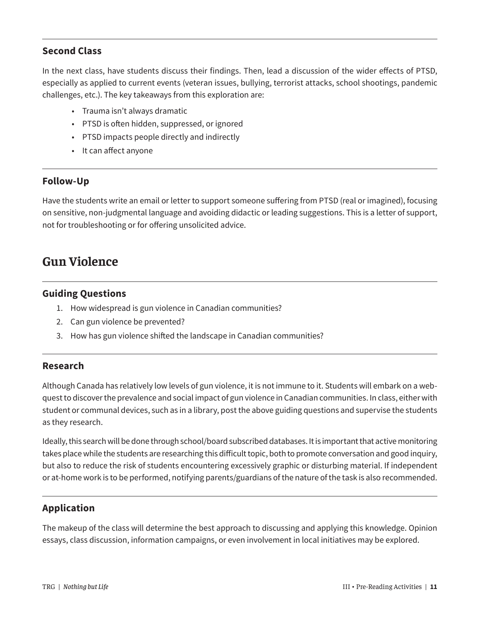#### **Second Class**

In the next class, have students discuss their findings. Then, lead a discussion of the wider effects of PTSD, especially as applied to current events (veteran issues, bullying, terrorist attacks, school shootings, pandemic challenges, etc.). The key takeaways from this exploration are:

- Trauma isn't always dramatic
- PTSD is often hidden, suppressed, or ignored
- PTSD impacts people directly and indirectly
- It can affect anyone

#### **Follow-Up**

Have the students write an email or letter to support someone suffering from PTSD (real or imagined), focusing on sensitive, non-judgmental language and avoiding didactic or leading suggestions. This is a letter of support, not for troubleshooting or for offering unsolicited advice.

### **Gun Violence**

#### **Guiding Questions**

- 1. How widespread is gun violence in Canadian communities?
- 2. Can gun violence be prevented?
- 3. How has gun violence shifted the landscape in Canadian communities?

#### **Research**

Although Canada has relatively low levels of gun violence, it is not immune to it. Students will embark on a webquest to discover the prevalence and social impact of gun violence in Canadian communities. In class, either with student or communal devices, such as in a library, post the above guiding questions and supervise the students as they research.

Ideally, this search will be done through school/board subscribed databases. It is important that active monitoring takes place while the students are researching this difficult topic, both to promote conversation and good inquiry, but also to reduce the risk of students encountering excessively graphic or disturbing material. If independent or at-home work is to be performed, notifying parents/guardians of the nature of the task is also recommended.

#### **Application**

The makeup of the class will determine the best approach to discussing and applying this knowledge. Opinion essays, class discussion, information campaigns, or even involvement in local initiatives may be explored.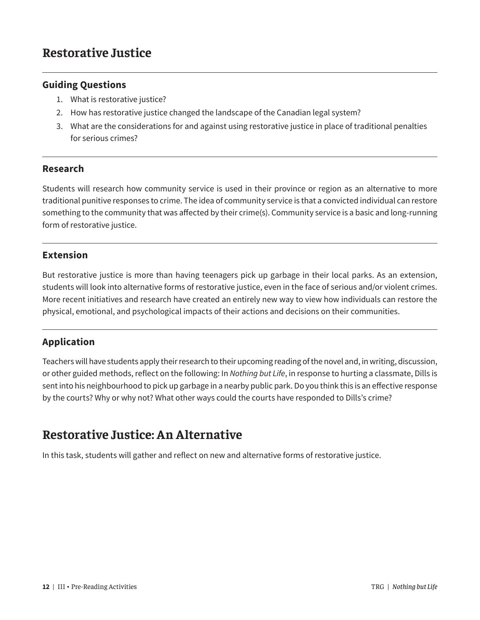### **Restorative Justice**

#### **Guiding Questions**

- 1. What is restorative justice?
- 2. How has restorative justice changed the landscape of the Canadian legal system?
- 3. What are the considerations for and against using restorative justice in place of traditional penalties for serious crimes?

#### **Research**

Students will research how community service is used in their province or region as an alternative to more traditional punitive responses to crime. The idea of community service is that a convicted individual can restore something to the community that was affected by their crime(s). Community service is a basic and long-running form of restorative justice.

#### **Extension**

But restorative justice is more than having teenagers pick up garbage in their local parks. As an extension, students will look into alternative forms of restorative justice, even in the face of serious and/or violent crimes. More recent initiatives and research have created an entirely new way to view how individuals can restore the physical, emotional, and psychological impacts of their actions and decisions on their communities.

#### **Application**

Teachers will have students apply their research to their upcoming reading of the novel and, in writing, discussion, or other guided methods, reflect on the following: In *Nothing but Life*, in response to hurting a classmate, Dills is sent into his neighbourhood to pick up garbage in a nearby public park. Do you think this is an effective response by the courts? Why or why not? What other ways could the courts have responded to Dills's crime?

### **Restorative Justice: An Alternative**

In this task, students will gather and reflect on new and alternative forms of restorative justice.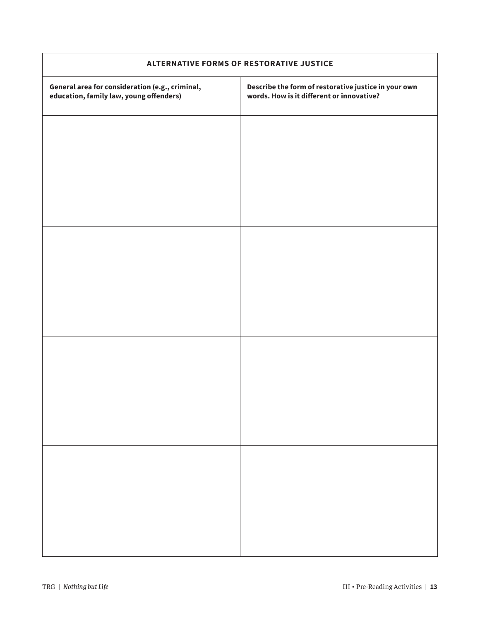| ALTERNATIVE FORMS OF RESTORATIVE JUSTICE                                                   |                                                                                                   |  |
|--------------------------------------------------------------------------------------------|---------------------------------------------------------------------------------------------------|--|
| General area for consideration (e.g., criminal,<br>education, family law, young offenders) | Describe the form of restorative justice in your own<br>words. How is it different or innovative? |  |
|                                                                                            |                                                                                                   |  |
|                                                                                            |                                                                                                   |  |
|                                                                                            |                                                                                                   |  |
|                                                                                            |                                                                                                   |  |
|                                                                                            |                                                                                                   |  |
|                                                                                            |                                                                                                   |  |
|                                                                                            |                                                                                                   |  |
|                                                                                            |                                                                                                   |  |
|                                                                                            |                                                                                                   |  |
|                                                                                            |                                                                                                   |  |
|                                                                                            |                                                                                                   |  |
|                                                                                            |                                                                                                   |  |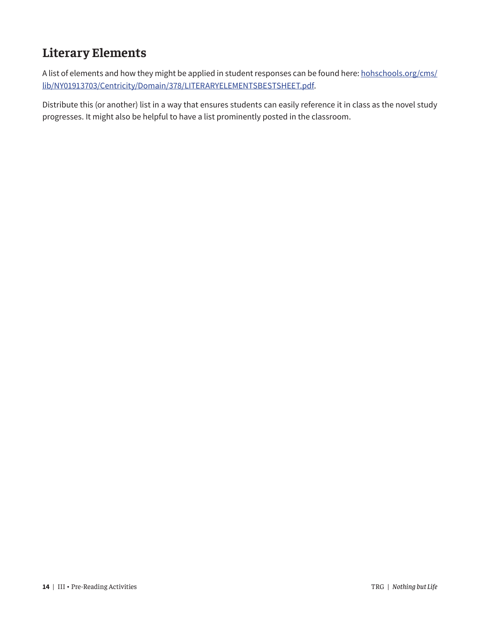### **Literary Elements**

A list of elements and how they might be applied in student responses can be found here: [hohschools.org/cms/](http://hohschools.org/cms/lib/NY01913703/Centricity/Domain/378/LITERARYELEMENTSBESTSHEET.pdf) [lib/NY01913703/Centricity/Domain/378/LITERARYELEMENTSBESTSHEET.pdf](http://hohschools.org/cms/lib/NY01913703/Centricity/Domain/378/LITERARYELEMENTSBESTSHEET.pdf).

Distribute this (or another) list in a way that ensures students can easily reference it in class as the novel study progresses. It might also be helpful to have a list prominently posted in the classroom.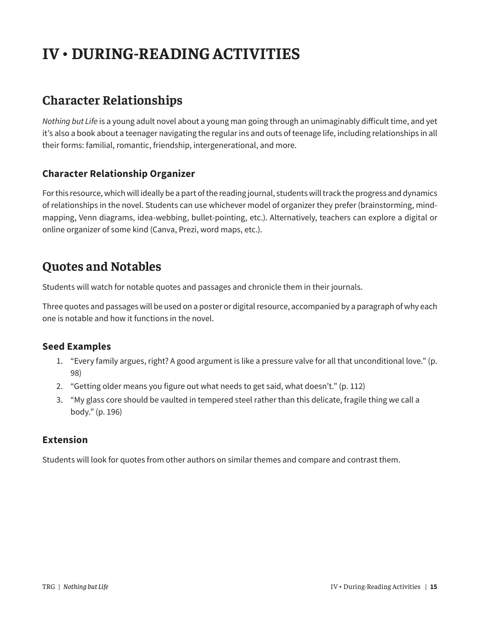# **IV • DURING-READING ACTIVITIES**

### **Character Relationships**

*Nothing but Life* is a young adult novel about a young man going through an unimaginably difficult time, and yet it's also a book about a teenager navigating the regular ins and outs of teenage life, including relationships in all their forms: familial, romantic, friendship, intergenerational, and more.

#### **Character Relationship Organizer**

For this resource, which will ideally be a part of the reading journal, students will track the progress and dynamics of relationships in the novel. Students can use whichever model of organizer they prefer (brainstorming, mindmapping, Venn diagrams, idea-webbing, bullet-pointing, etc.). Alternatively, teachers can explore a digital or online organizer of some kind (Canva, Prezi, word maps, etc.).

### **Quotes and Notables**

Students will watch for notable quotes and passages and chronicle them in their journals.

Three quotes and passages will be used on a poster or digital resource, accompanied by a paragraph of why each one is notable and how it functions in the novel.

#### **Seed Examples**

- 1. "Every family argues, right? A good argument is like a pressure valve for all that unconditional love." (p. 98)
- 2. "Getting older means you figure out what needs to get said, what doesn't." (p. 112)
- 3. "My glass core should be vaulted in tempered steel rather than this delicate, fragile thing we call a body." (p. 196)

#### **Extension**

Students will look for quotes from other authors on similar themes and compare and contrast them.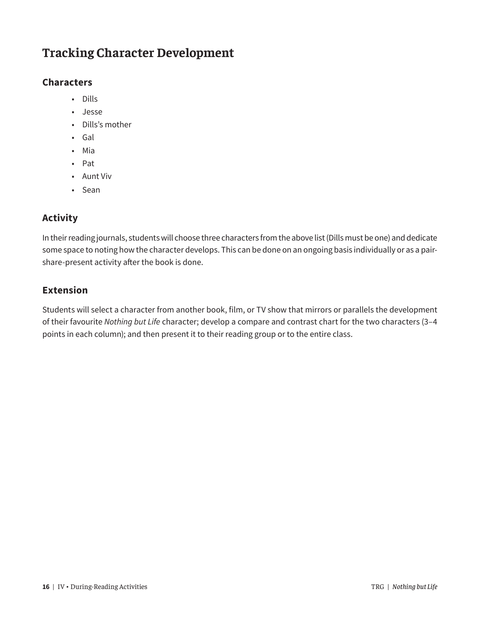### **Tracking Character Development**

#### **Characters**

- Dills
- Jesse
- Dills's mother
- Gal
- Mia
- Pat
- Aunt Viv
- Sean

### **Activity**

In their reading journals, students will choose three characters from the above list (Dills must be one) and dedicate some space to noting how the character develops. This can be done on an ongoing basis individually or as a pairshare-present activity after the book is done.

#### **Extension**

Students will select a character from another book, film, or TV show that mirrors or parallels the development of their favourite *Nothing but Life* character; develop a compare and contrast chart for the two characters (3–4 points in each column); and then present it to their reading group or to the entire class.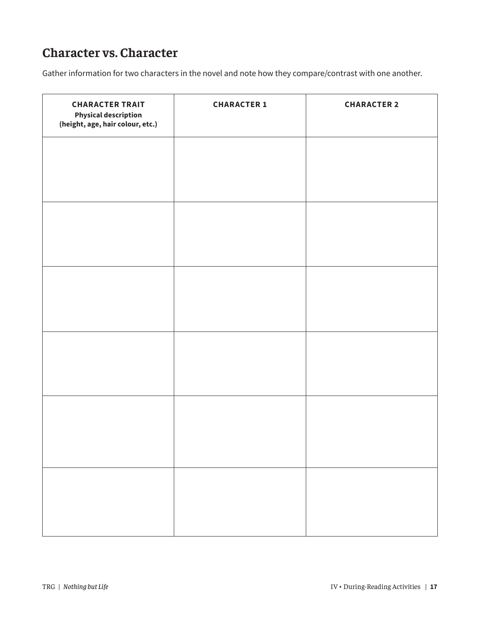### **Character vs. Character**

Gather information for two characters in the novel and note how they compare/contrast with one another.

| <b>CHARACTER TRAIT</b><br><b>Physical description</b><br>(height, age, hair colour, etc.) | <b>CHARACTER 1</b> | <b>CHARACTER 2</b> |
|-------------------------------------------------------------------------------------------|--------------------|--------------------|
|                                                                                           |                    |                    |
|                                                                                           |                    |                    |
|                                                                                           |                    |                    |
|                                                                                           |                    |                    |
|                                                                                           |                    |                    |
|                                                                                           |                    |                    |
|                                                                                           |                    |                    |
|                                                                                           |                    |                    |
|                                                                                           |                    |                    |
|                                                                                           |                    |                    |
|                                                                                           |                    |                    |
|                                                                                           |                    |                    |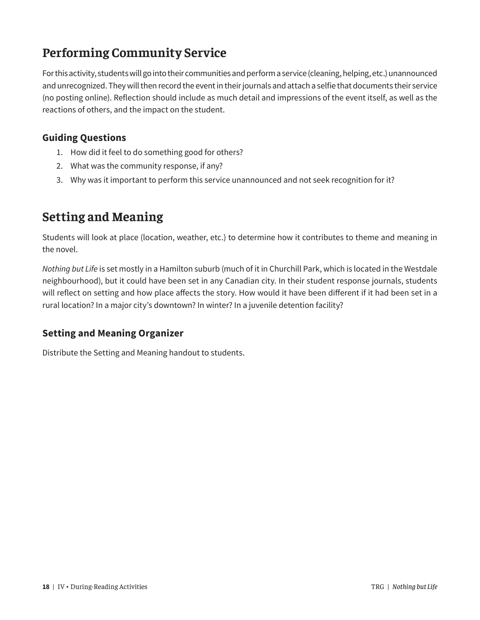### **Performing Community Service**

For this activity, students will go into their communities and perform a service (cleaning, helping, etc.) unannounced and unrecognized. They will then record the event in their journals and attach a selfie that documents their service (no posting online). Reflection should include as much detail and impressions of the event itself, as well as the reactions of others, and the impact on the student.

#### **Guiding Questions**

- 1. How did it feel to do something good for others?
- 2. What was the community response, if any?
- 3. Why was it important to perform this service unannounced and not seek recognition for it?

### **Setting and Meaning**

Students will look at place (location, weather, etc.) to determine how it contributes to theme and meaning in the novel.

*Nothing but Life* is set mostly in a Hamilton suburb (much of it in Churchill Park, which is located in the Westdale neighbourhood), but it could have been set in any Canadian city. In their student response journals, students will reflect on setting and how place affects the story. How would it have been different if it had been set in a rural location? In a major city's downtown? In winter? In a juvenile detention facility?

#### **Setting and Meaning Organizer**

Distribute the Setting and Meaning handout to students.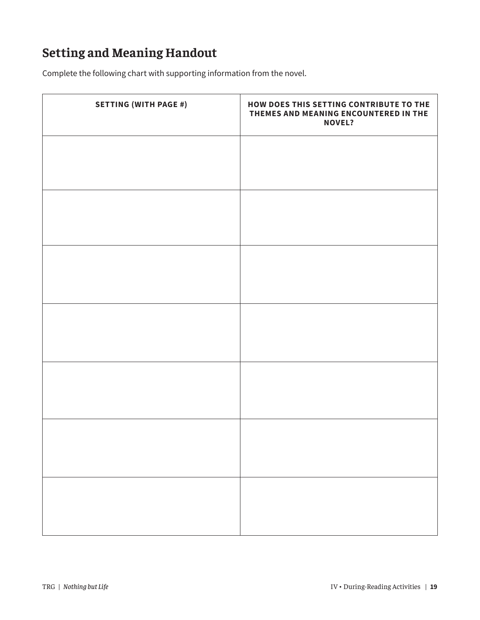### **Setting and Meaning Handout**

Complete the following chart with supporting information from the novel.

| <b>SETTING (WITH PAGE #)</b> | HOW DOES THIS SETTING CONTRIBUTE TO THE<br>THEMES AND MEANING ENCOUNTERED IN THE<br><b>NOVEL?</b> |
|------------------------------|---------------------------------------------------------------------------------------------------|
|                              |                                                                                                   |
|                              |                                                                                                   |
|                              |                                                                                                   |
|                              |                                                                                                   |
|                              |                                                                                                   |
|                              |                                                                                                   |
|                              |                                                                                                   |
|                              |                                                                                                   |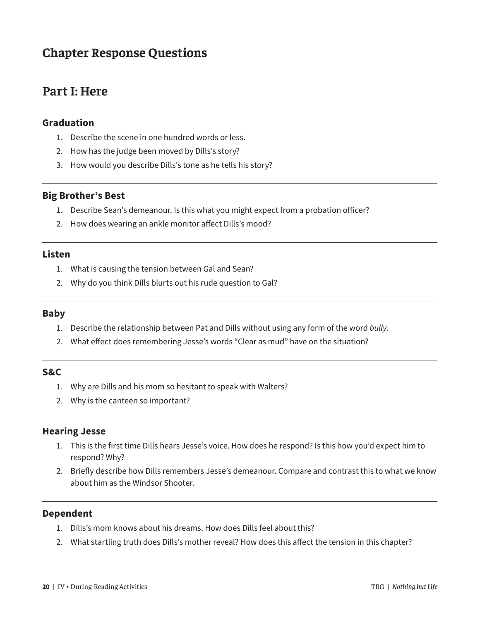### **Chapter Response Questions**

### **Part I: Here**

#### **Graduation**

- 1. Describe the scene in one hundred words or less.
- 2. How has the judge been moved by Dills's story?
- 3. How would you describe Dills's tone as he tells his story?

#### **Big Brother's Best**

- 1. Describe Sean's demeanour. Is this what you might expect from a probation officer?
- 2. How does wearing an ankle monitor affect Dills's mood?

#### **Listen**

- 1. What is causing the tension between Gal and Sean?
- 2. Why do you think Dills blurts out his rude question to Gal?

#### **Baby**

- 1. Describe the relationship between Pat and Dills without using any form of the word *bully*.
- 2. What effect does remembering Jesse's words "Clear as mud" have on the situation?

#### **S&C**

- 1. Why are Dills and his mom so hesitant to speak with Walters?
- 2. Why is the canteen so important?

#### **Hearing Jesse**

- 1. This is the first time Dills hears Jesse's voice. How does he respond? Is this how you'd expect him to respond? Why?
- 2. Briefly describe how Dills remembers Jesse's demeanour. Compare and contrast this to what we know about him as the Windsor Shooter.

#### **Dependent**

- 1. Dills's mom knows about his dreams. How does Dills feel about this?
- 2. What startling truth does Dills's mother reveal? How does this affect the tension in this chapter?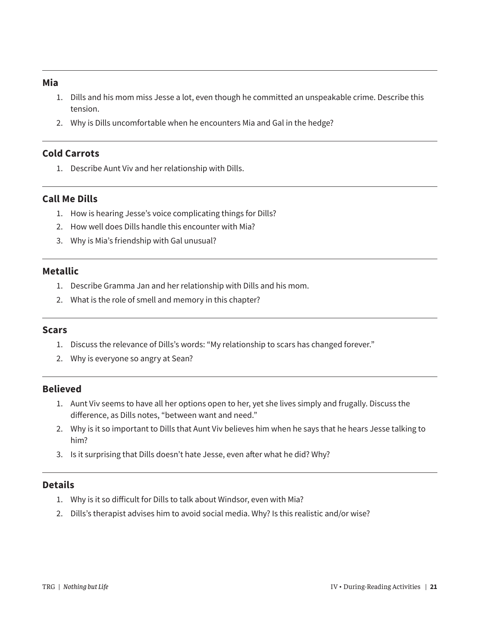#### **Mia**

- 1. Dills and his mom miss Jesse a lot, even though he committed an unspeakable crime. Describe this tension.
- 2. Why is Dills uncomfortable when he encounters Mia and Gal in the hedge?

#### **Cold Carrots**

1. Describe Aunt Viv and her relationship with Dills.

#### **Call Me Dills**

- 1. How is hearing Jesse's voice complicating things for Dills?
- 2. How well does Dills handle this encounter with Mia?
- 3. Why is Mia's friendship with Gal unusual?

#### **Metallic**

- 1. Describe Gramma Jan and her relationship with Dills and his mom.
- 2. What is the role of smell and memory in this chapter?

#### **Scars**

- 1. Discuss the relevance of Dills's words: "My relationship to scars has changed forever."
- 2. Why is everyone so angry at Sean?

#### **Believed**

- 1. Aunt Viv seems to have all her options open to her, yet she lives simply and frugally. Discuss the difference, as Dills notes, "between want and need."
- 2. Why is it so important to Dills that Aunt Viv believes him when he says that he hears Jesse talking to him?
- 3. Is it surprising that Dills doesn't hate Jesse, even after what he did? Why?

#### **Details**

- 1. Why is it so difficult for Dills to talk about Windsor, even with Mia?
- 2. Dills's therapist advises him to avoid social media. Why? Is this realistic and/or wise?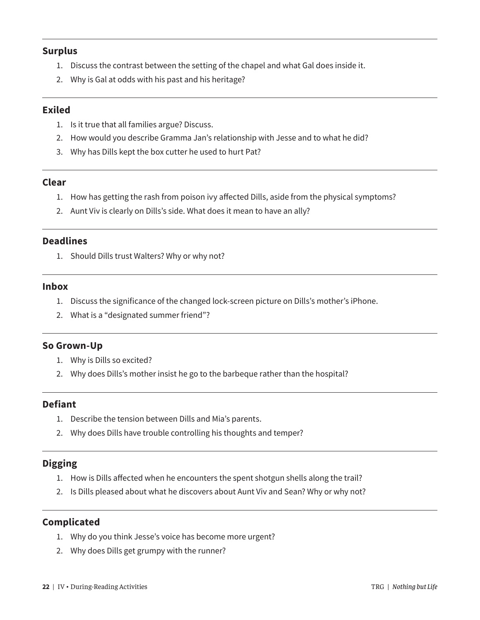#### **Surplus**

- 1. Discuss the contrast between the setting of the chapel and what Gal does inside it.
- 2. Why is Gal at odds with his past and his heritage?

#### **Exiled**

- 1. Is it true that all families argue? Discuss.
- 2. How would you describe Gramma Jan's relationship with Jesse and to what he did?
- 3. Why has Dills kept the box cutter he used to hurt Pat?

#### **Clear**

- 1. How has getting the rash from poison ivy affected Dills, aside from the physical symptoms?
- 2. Aunt Viv is clearly on Dills's side. What does it mean to have an ally?

#### **Deadlines**

1. Should Dills trust Walters? Why or why not?

#### **Inbox**

- 1. Discuss the significance of the changed lock-screen picture on Dills's mother's iPhone.
- 2. What is a "designated summer friend"?

#### **So Grown-Up**

- 1. Why is Dills so excited?
- 2. Why does Dills's mother insist he go to the barbeque rather than the hospital?

#### **Defiant**

- 1. Describe the tension between Dills and Mia's parents.
- 2. Why does Dills have trouble controlling his thoughts and temper?

#### **Digging**

- 1. How is Dills affected when he encounters the spent shotgun shells along the trail?
- 2. Is Dills pleased about what he discovers about Aunt Viv and Sean? Why or why not?

#### **Complicated**

- 1. Why do you think Jesse's voice has become more urgent?
- 2. Why does Dills get grumpy with the runner?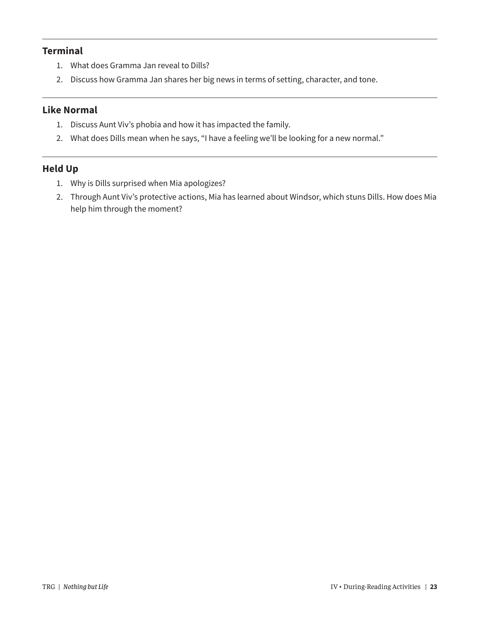#### **Terminal**

- 1. What does Gramma Jan reveal to Dills?
- 2. Discuss how Gramma Jan shares her big news in terms of setting, character, and tone.

#### **Like Normal**

- 1. Discuss Aunt Viv's phobia and how it has impacted the family.
- 2. What does Dills mean when he says, "I have a feeling we'll be looking for a new normal."

#### **Held Up**

- 1. Why is Dills surprised when Mia apologizes?
- 2. Through Aunt Viv's protective actions, Mia has learned about Windsor, which stuns Dills. How does Mia help him through the moment?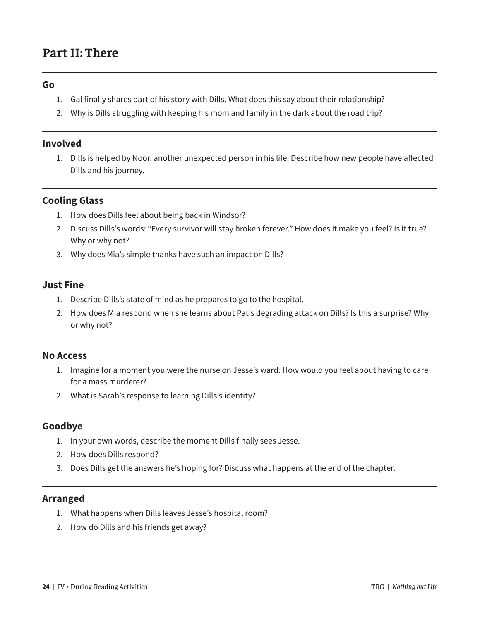### **Part II: There**

#### **Go**

- 1. Gal finally shares part of his story with Dills. What does this say about their relationship?
- 2. Why is Dills struggling with keeping his mom and family in the dark about the road trip?

#### **Involved**

1. Dills is helped by Noor, another unexpected person in his life. Describe how new people have affected Dills and his journey.

#### **Cooling Glass**

- 1. How does Dills feel about being back in Windsor?
- 2. Discuss Dills's words: "Every survivor will stay broken forever." How does it make you feel? Is it true? Why or why not?
- 3. Why does Mia's simple thanks have such an impact on Dills?

#### **Just Fine**

- 1. Describe Dills's state of mind as he prepares to go to the hospital.
- 2. How does Mia respond when she learns about Pat's degrading attack on Dills? Is this a surprise? Why or why not?

#### **No Access**

- 1. Imagine for a moment you were the nurse on Jesse's ward. How would you feel about having to care for a mass murderer?
- 2. What is Sarah's response to learning Dills's identity?

#### **Goodbye**

- 1. In your own words, describe the moment Dills finally sees Jesse.
- 2. How does Dills respond?
- 3. Does Dills get the answers he's hoping for? Discuss what happens at the end of the chapter.

#### **Arranged**

- 1. What happens when Dills leaves Jesse's hospital room?
- 2. How do Dills and his friends get away?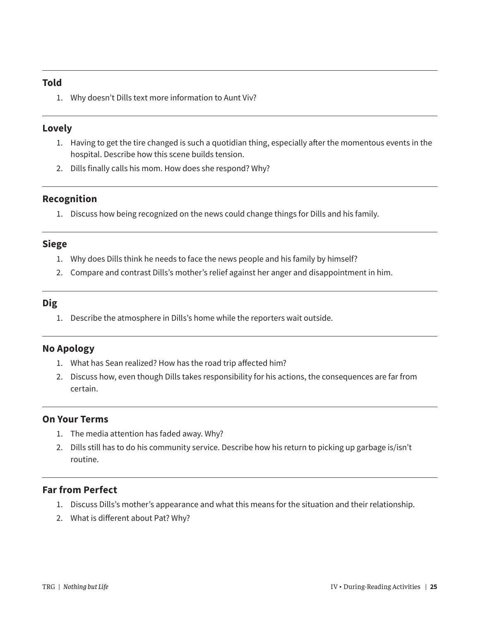#### **Told**

1. Why doesn't Dills text more information to Aunt Viv?

#### **Lovely**

- 1. Having to get the tire changed is such a quotidian thing, especially after the momentous events in the hospital. Describe how this scene builds tension.
- 2. Dills finally calls his mom. How does she respond? Why?

#### **Recognition**

1. Discuss how being recognized on the news could change things for Dills and his family.

#### **Siege**

- 1. Why does Dills think he needs to face the news people and his family by himself?
- 2. Compare and contrast Dills's mother's relief against her anger and disappointment in him.

#### **Dig**

1. Describe the atmosphere in Dills's home while the reporters wait outside.

#### **No Apology**

- 1. What has Sean realized? How has the road trip affected him?
- 2. Discuss how, even though Dills takes responsibility for his actions, the consequences are far from certain.

#### **On Your Terms**

- 1. The media attention has faded away. Why?
- 2. Dills still has to do his community service. Describe how his return to picking up garbage is/isn't routine.

#### **Far from Perfect**

- 1. Discuss Dills's mother's appearance and what this means for the situation and their relationship.
- 2. What is different about Pat? Why?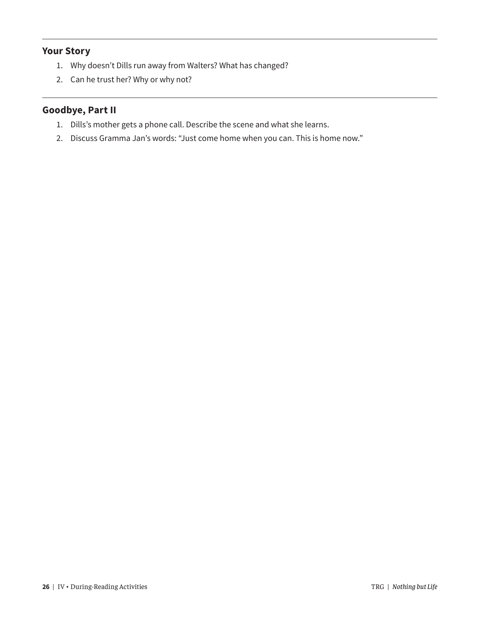#### **Your Story**

- 1. Why doesn't Dills run away from Walters? What has changed?
- 2. Can he trust her? Why or why not?

#### **Goodbye, Part II**

- 1. Dills's mother gets a phone call. Describe the scene and what she learns.
- 2. Discuss Gramma Jan's words: "Just come home when you can. This is home now."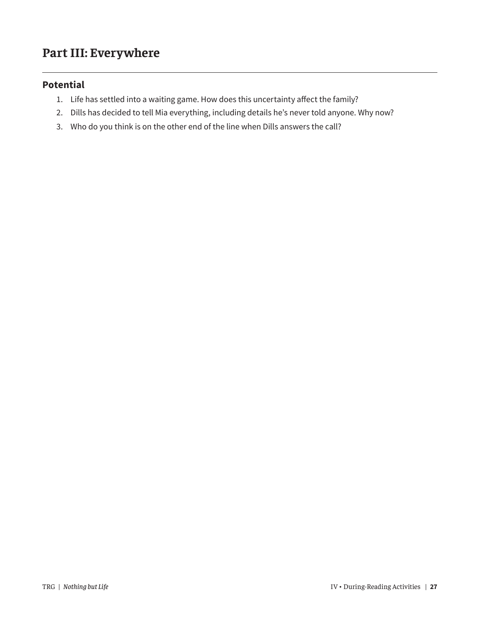### **Part III: Everywhere**

#### **Potential**

- 1. Life has settled into a waiting game. How does this uncertainty affect the family?
- 2. Dills has decided to tell Mia everything, including details he's never told anyone. Why now?
- 3. Who do you think is on the other end of the line when Dills answers the call?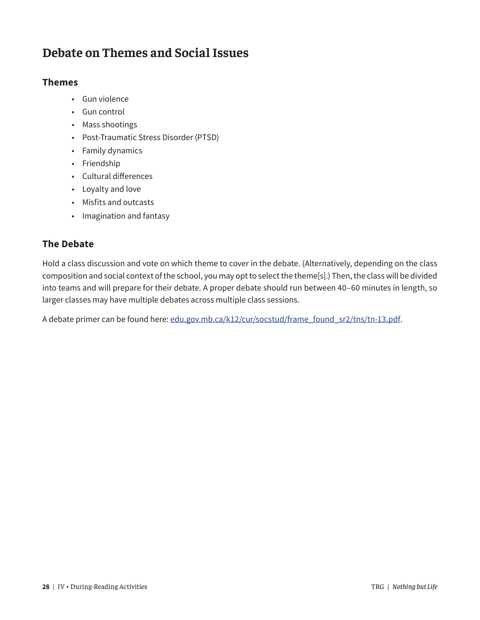### **Debate on Themes and Social Issues**

#### **Themes**

- Gun violence
- Gun control
- Mass shootings
- Post-Traumatic Stress Disorder (PTSD)
- Family dynamics
- Friendship
- Cultural differences
- Loyalty and love
- Misfits and outcasts
- Imagination and fantasy

#### **The Debate**

Hold a class discussion and vote on which theme to cover in the debate. (Alternatively, depending on the class composition and social context of the school, you may opt to select the theme[s].) Then, the class will be divided into teams and will prepare for their debate. A proper debate should run between 40–60 minutes in length, so larger classes may have multiple debates across multiple class sessions.

A debate primer can be found here: [edu.gov.mb.ca/k12/cur/socstud/frame\\_found\\_sr2/tns/tn-13.pdf](https://edu.gov.mb.ca/k12/cur/socstud/frame_found_sr2/tns/tn-13.pdf).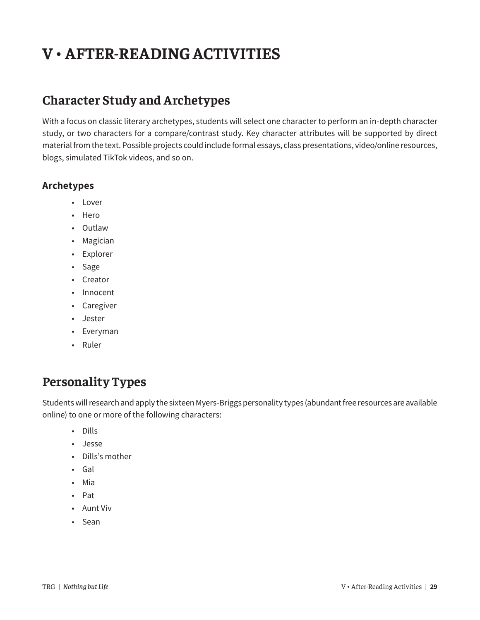# **V • AFTER-READING ACTIVITIES**

### **Character Study and Archetypes**

With a focus on classic literary archetypes, students will select one character to perform an in-depth character study, or two characters for a compare/contrast study. Key character attributes will be supported by direct material from the text. Possible projects could include formal essays, class presentations, video/online resources, blogs, simulated TikTok videos, and so on.

#### **Archetypes**

- Lover
- Hero
- Outlaw
- Magician
- Explorer
- Sage
- Creator
- Innocent
- Caregiver
- Jester
- Everyman
- Ruler

### **Personality Types**

Students will research and apply the sixteen Myers-Briggs personality types (abundant free resources are available online) to one or more of the following characters:

- Dills
- Jesse
- Dills's mother
- Gal
- Mia
- Pat
- Aunt Viv
- Sean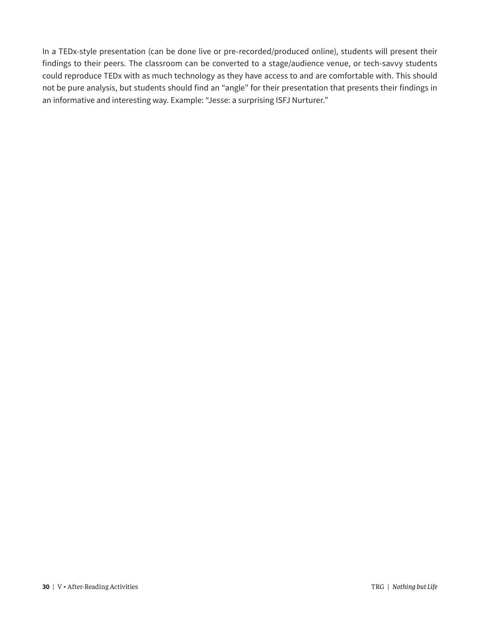In a TEDx-style presentation (can be done live or pre-recorded/produced online), students will present their findings to their peers. The classroom can be converted to a stage/audience venue, or tech-savvy students could reproduce TEDx with as much technology as they have access to and are comfortable with. This should not be pure analysis, but students should find an "angle" for their presentation that presents their findings in an informative and interesting way. Example: "Jesse: a surprising ISFJ Nurturer."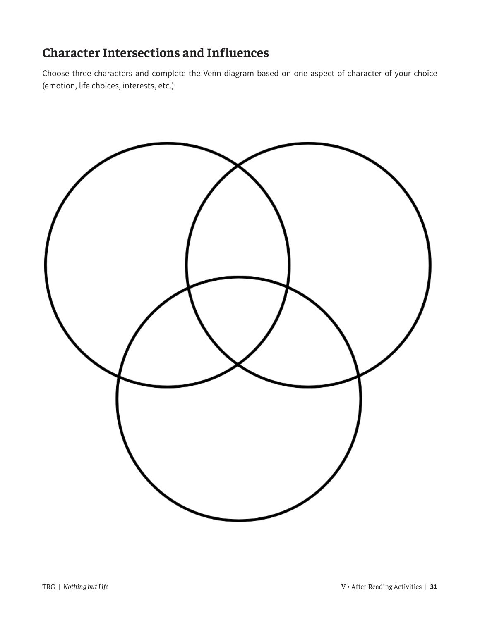### **Character Intersections and Influences**

Choose three characters and complete the Venn diagram based on one aspect of character of your choice (emotion, life choices, interests, etc.):

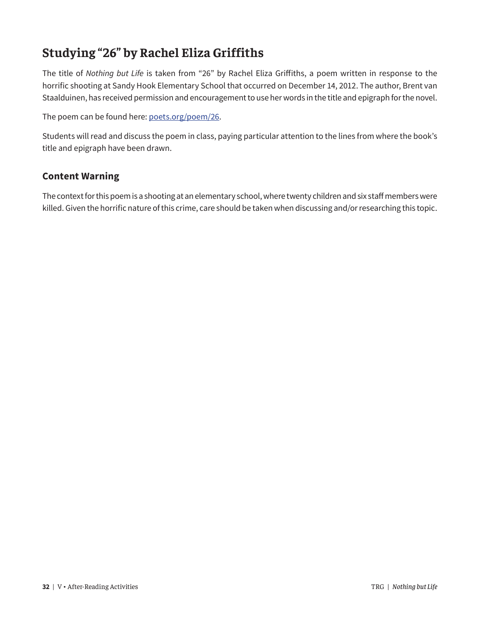### **Studying "26" by Rachel Eliza Griffiths**

The title of *Nothing but Life* is taken from "26" by Rachel Eliza Griffiths, a poem written in response to the horrific shooting at Sandy Hook Elementary School that occurred on December 14, 2012. The author, Brent van Staalduinen, has received permission and encouragement to use her words in the title and epigraph for the novel.

The poem can be found here: [poets.org/poem/26](https://poets.org/poem/26).

Students will read and discuss the poem in class, paying particular attention to the lines from where the book's title and epigraph have been drawn.

#### **Content Warning**

The context for this poem is a shooting at an elementary school, where twenty children and six staff members were killed. Given the horrific nature of this crime, care should be taken when discussing and/or researching this topic.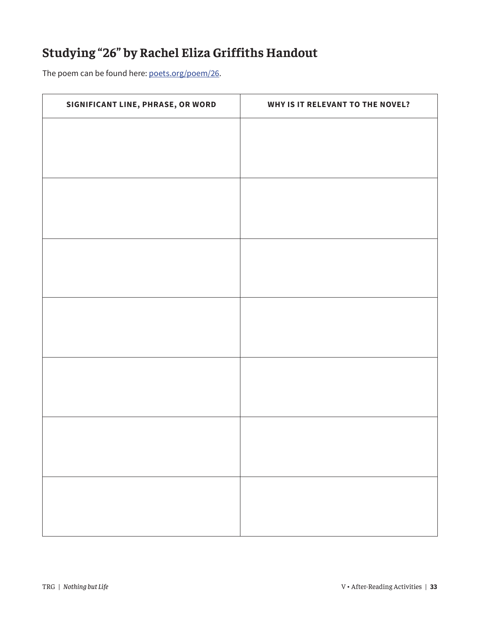### **Studying "26" by Rachel Eliza Griffiths Handout**

The poem can be found here: [poets.org/poem/26](https://poets.org/poem/26).

| SIGNIFICANT LINE, PHRASE, OR WORD | WHY IS IT RELEVANT TO THE NOVEL? |
|-----------------------------------|----------------------------------|
|                                   |                                  |
|                                   |                                  |
|                                   |                                  |
|                                   |                                  |
|                                   |                                  |
|                                   |                                  |
|                                   |                                  |
|                                   |                                  |
|                                   |                                  |
|                                   |                                  |
|                                   |                                  |
|                                   |                                  |
|                                   |                                  |
|                                   |                                  |
|                                   |                                  |
|                                   |                                  |
|                                   |                                  |
|                                   |                                  |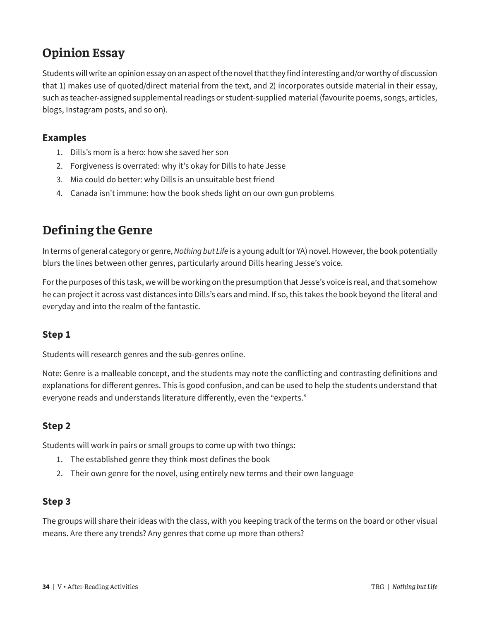### **Opinion Essay**

Students will write an opinion essay on an aspect of the novel that they find interesting and/or worthy of discussion that 1) makes use of quoted/direct material from the text, and 2) incorporates outside material in their essay, such as teacher-assigned supplemental readings or student-supplied material (favourite poems, songs, articles, blogs, Instagram posts, and so on).

#### **Examples**

- 1. Dills's mom is a hero: how she saved her son
- 2. Forgiveness is overrated: why it's okay for Dills to hate Jesse
- 3. Mia could do better: why Dills is an unsuitable best friend
- 4. Canada isn't immune: how the book sheds light on our own gun problems

### **Defining the Genre**

In terms of general category or genre, *Nothing but Life* is a young adult (or YA) novel. However, the book potentially blurs the lines between other genres, particularly around Dills hearing Jesse's voice.

For the purposes of this task, we will be working on the presumption that Jesse's voice is real, and that somehow he can project it across vast distances into Dills's ears and mind. If so, this takes the book beyond the literal and everyday and into the realm of the fantastic.

#### **Step 1**

Students will research genres and the sub-genres online.

Note: Genre is a malleable concept, and the students may note the conflicting and contrasting definitions and explanations for different genres. This is good confusion, and can be used to help the students understand that everyone reads and understands literature differently, even the "experts."

#### **Step 2**

Students will work in pairs or small groups to come up with two things:

- 1. The established genre they think most defines the book
- 2. Their own genre for the novel, using entirely new terms and their own language

#### **Step 3**

The groups will share their ideas with the class, with you keeping track of the terms on the board or other visual means. Are there any trends? Any genres that come up more than others?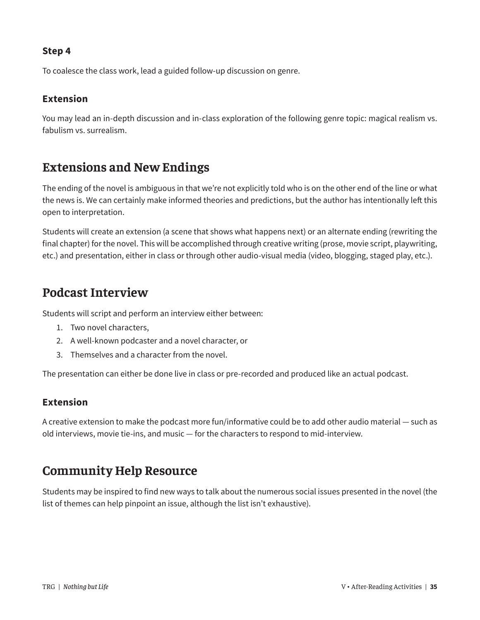#### **Step 4**

To coalesce the class work, lead a guided follow-up discussion on genre.

#### **Extension**

You may lead an in-depth discussion and in-class exploration of the following genre topic: magical realism vs. fabulism vs. surrealism.

### **Extensions and New Endings**

The ending of the novel is ambiguous in that we're not explicitly told who is on the other end of the line or what the news is. We can certainly make informed theories and predictions, but the author has intentionally left this open to interpretation.

Students will create an extension (a scene that shows what happens next) or an alternate ending (rewriting the final chapter) for the novel. This will be accomplished through creative writing (prose, movie script, playwriting, etc.) and presentation, either in class or through other audio-visual media (video, blogging, staged play, etc.).

### **Podcast Interview**

Students will script and perform an interview either between:

- 1. Two novel characters,
- 2. A well-known podcaster and a novel character, or
- 3. Themselves and a character from the novel.

The presentation can either be done live in class or pre-recorded and produced like an actual podcast.

#### **Extension**

A creative extension to make the podcast more fun/informative could be to add other audio material — such as old interviews, movie tie-ins, and music — for the characters to respond to mid-interview.

### **Community Help Resource**

Students may be inspired to find new ways to talk about the numerous social issues presented in the novel (the list of themes can help pinpoint an issue, although the list isn't exhaustive).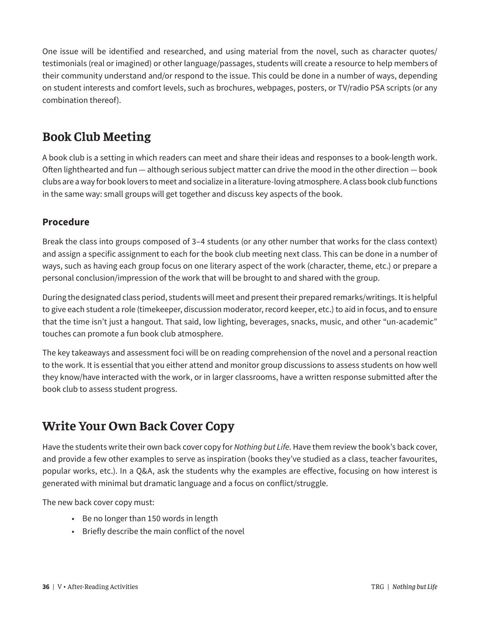One issue will be identified and researched, and using material from the novel, such as character quotes/ testimonials (real or imagined) or other language/passages, students will create a resource to help members of their community understand and/or respond to the issue. This could be done in a number of ways, depending on student interests and comfort levels, such as brochures, webpages, posters, or TV/radio PSA scripts (or any combination thereof).

### **Book Club Meeting**

A book club is a setting in which readers can meet and share their ideas and responses to a book-length work. Often lighthearted and fun — although serious subject matter can drive the mood in the other direction — book clubs are a way for book lovers to meet and socialize in a literature-loving atmosphere. A class book club functions in the same way: small groups will get together and discuss key aspects of the book.

#### **Procedure**

Break the class into groups composed of 3–4 students (or any other number that works for the class context) and assign a specific assignment to each for the book club meeting next class. This can be done in a number of ways, such as having each group focus on one literary aspect of the work (character, theme, etc.) or prepare a personal conclusion/impression of the work that will be brought to and shared with the group.

During the designated class period, students will meet and present their prepared remarks/writings. It is helpful to give each student a role (timekeeper, discussion moderator, record keeper, etc.) to aid in focus, and to ensure that the time isn't just a hangout. That said, low lighting, beverages, snacks, music, and other "un-academic" touches can promote a fun book club atmosphere.

The key takeaways and assessment foci will be on reading comprehension of the novel and a personal reaction to the work. It is essential that you either attend and monitor group discussions to assess students on how well they know/have interacted with the work, or in larger classrooms, have a written response submitted after the book club to assess student progress.

### **Write Your Own Back Cover Copy**

Have the students write their own back cover copy for *Nothing but Life*. Have them review the book's back cover, and provide a few other examples to serve as inspiration (books they've studied as a class, teacher favourites, popular works, etc.). In a Q&A, ask the students why the examples are effective, focusing on how interest is generated with minimal but dramatic language and a focus on conflict/struggle.

The new back cover copy must:

- Be no longer than 150 words in length
- Briefly describe the main conflict of the novel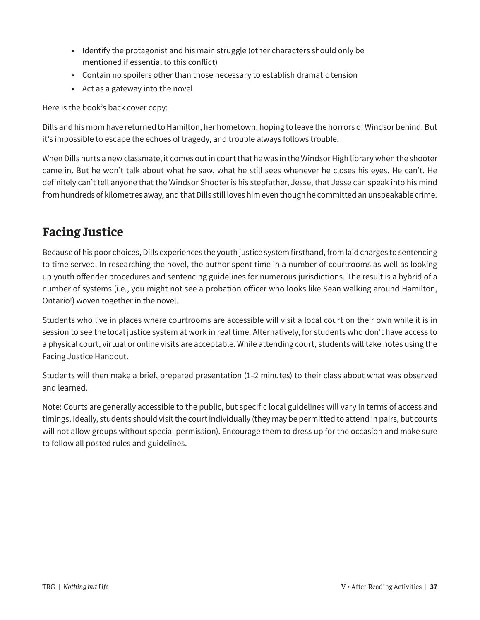- Identify the protagonist and his main struggle (other characters should only be mentioned if essential to this conflict)
- Contain no spoilers other than those necessary to establish dramatic tension
- Act as a gateway into the novel

Here is the book's back cover copy:

Dills and his mom have returned to Hamilton, her hometown, hoping to leave the horrors of Windsor behind. But it's impossible to escape the echoes of tragedy, and trouble always follows trouble.

When Dills hurts a new classmate, it comes out in court that he was in the Windsor High library when the shooter came in. But he won't talk about what he saw, what he still sees whenever he closes his eyes. He can't. He definitely can't tell anyone that the Windsor Shooter is his stepfather, Jesse, that Jesse can speak into his mind from hundreds of kilometres away, and that Dills still loves him even though he committed an unspeakable crime.

### **Facing Justice**

Because of his poor choices, Dills experiences the youth justice system firsthand, from laid charges to sentencing to time served. In researching the novel, the author spent time in a number of courtrooms as well as looking up youth offender procedures and sentencing guidelines for numerous jurisdictions. The result is a hybrid of a number of systems (i.e., you might not see a probation officer who looks like Sean walking around Hamilton, Ontario!) woven together in the novel.

Students who live in places where courtrooms are accessible will visit a local court on their own while it is in session to see the local justice system at work in real time. Alternatively, for students who don't have access to a physical court, virtual or online visits are acceptable. While attending court, students will take notes using the Facing Justice Handout.

Students will then make a brief, prepared presentation (1–2 minutes) to their class about what was observed and learned.

Note: Courts are generally accessible to the public, but specific local guidelines will vary in terms of access and timings. Ideally, students should visit the court individually (they may be permitted to attend in pairs, but courts will not allow groups without special permission). Encourage them to dress up for the occasion and make sure to follow all posted rules and guidelines.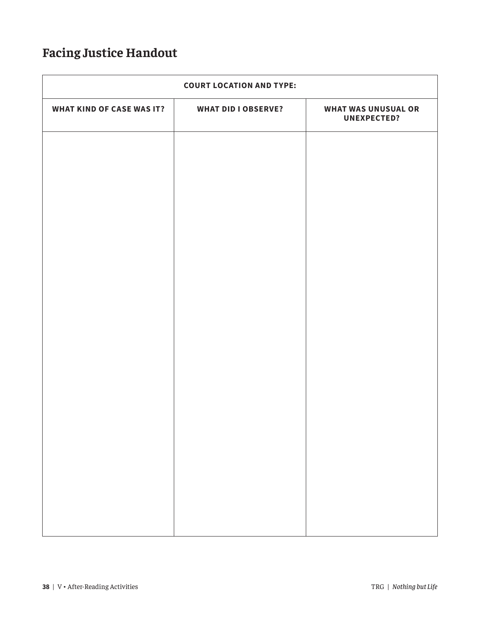### **Facing Justice Handout**

| <b>COURT LOCATION AND TYPE:</b>  |                            |                                                  |
|----------------------------------|----------------------------|--------------------------------------------------|
| <b>WHAT KIND OF CASE WAS IT?</b> | <b>WHAT DID I OBSERVE?</b> | <b>WHAT WAS UNUSUAL OR</b><br><b>UNEXPECTED?</b> |
|                                  |                            |                                                  |
|                                  |                            |                                                  |
|                                  |                            |                                                  |
|                                  |                            |                                                  |
|                                  |                            |                                                  |
|                                  |                            |                                                  |
|                                  |                            |                                                  |
|                                  |                            |                                                  |
|                                  |                            |                                                  |
|                                  |                            |                                                  |
|                                  |                            |                                                  |
|                                  |                            |                                                  |
|                                  |                            |                                                  |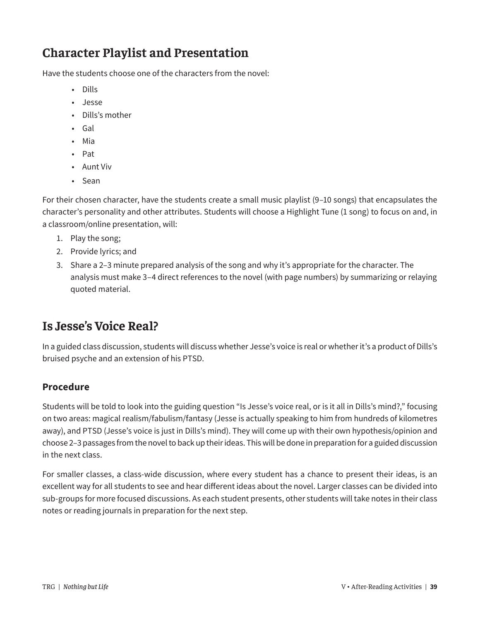### **Character Playlist and Presentation**

Have the students choose one of the characters from the novel:

- Dills
- Jesse
- Dills's mother
- Gal
- Mia
- Pat
- Aunt Viv
- Sean

For their chosen character, have the students create a small music playlist (9–10 songs) that encapsulates the character's personality and other attributes. Students will choose a Highlight Tune (1 song) to focus on and, in a classroom/online presentation, will:

- 1. Play the song;
- 2. Provide lyrics; and
- 3. Share a 2–3 minute prepared analysis of the song and why it's appropriate for the character. The analysis must make 3–4 direct references to the novel (with page numbers) by summarizing or relaying quoted material.

### **Is Jesse's Voice Real?**

In a guided class discussion, students will discuss whether Jesse's voice is real or whether it's a product of Dills's bruised psyche and an extension of his PTSD.

#### **Procedure**

Students will be told to look into the guiding question "Is Jesse's voice real, or is it all in Dills's mind?," focusing on two areas: magical realism/fabulism/fantasy (Jesse is actually speaking to him from hundreds of kilometres away), and PTSD (Jesse's voice is just in Dills's mind). They will come up with their own hypothesis/opinion and choose 2–3 passages from the novel to back up their ideas. This will be done in preparation for a guided discussion in the next class.

For smaller classes, a class-wide discussion, where every student has a chance to present their ideas, is an excellent way for all students to see and hear different ideas about the novel. Larger classes can be divided into sub-groups for more focused discussions. As each student presents, other students will take notes in their class notes or reading journals in preparation for the next step.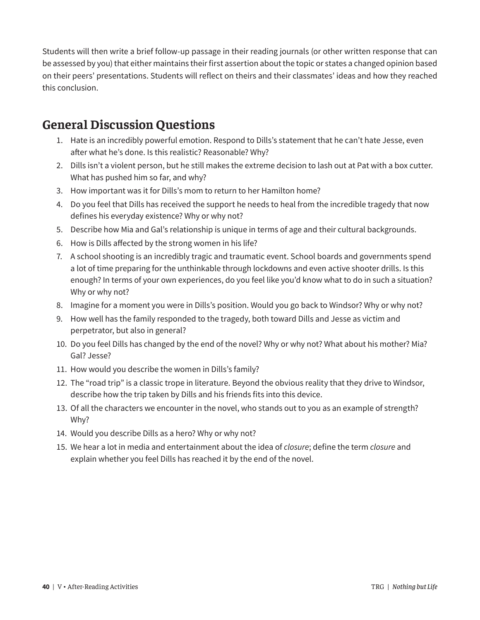Students will then write a brief follow-up passage in their reading journals (or other written response that can be assessed by you) that either maintains their first assertion about the topic or states a changed opinion based on their peers' presentations. Students will reflect on theirs and their classmates' ideas and how they reached this conclusion.

### **General Discussion Questions**

- 1. Hate is an incredibly powerful emotion. Respond to Dills's statement that he can't hate Jesse, even after what he's done. Is this realistic? Reasonable? Why?
- 2. Dills isn't a violent person, but he still makes the extreme decision to lash out at Pat with a box cutter. What has pushed him so far, and why?
- 3. How important was it for Dills's mom to return to her Hamilton home?
- 4. Do you feel that Dills has received the support he needs to heal from the incredible tragedy that now defines his everyday existence? Why or why not?
- 5. Describe how Mia and Gal's relationship is unique in terms of age and their cultural backgrounds.
- 6. How is Dills affected by the strong women in his life?
- 7. A school shooting is an incredibly tragic and traumatic event. School boards and governments spend a lot of time preparing for the unthinkable through lockdowns and even active shooter drills. Is this enough? In terms of your own experiences, do you feel like you'd know what to do in such a situation? Why or why not?
- 8. Imagine for a moment you were in Dills's position. Would you go back to Windsor? Why or why not?
- 9. How well has the family responded to the tragedy, both toward Dills and Jesse as victim and perpetrator, but also in general?
- 10. Do you feel Dills has changed by the end of the novel? Why or why not? What about his mother? Mia? Gal? Jesse?
- 11. How would you describe the women in Dills's family?
- 12. The "road trip" is a classic trope in literature. Beyond the obvious reality that they drive to Windsor, describe how the trip taken by Dills and his friends fits into this device.
- 13. Of all the characters we encounter in the novel, who stands out to you as an example of strength? Why?
- 14. Would you describe Dills as a hero? Why or why not?
- 15. We hear a lot in media and entertainment about the idea of *closure*; define the term *closure* and explain whether you feel Dills has reached it by the end of the novel.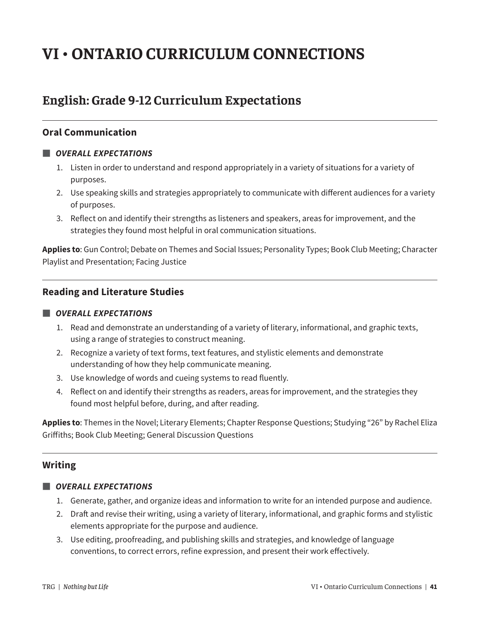# **VI • ONTARIO CURRICULUM CONNECTIONS**

### **English: Grade 9-12 Curriculum Expectations**

#### **Oral Communication**

#### *■ OVERALL EXPECTATIONS*

- 1. Listen in order to understand and respond appropriately in a variety of situations for a variety of purposes.
- 2. Use speaking skills and strategies appropriately to communicate with different audiences for a variety of purposes.
- 3. Reflect on and identify their strengths as listeners and speakers, areas for improvement, and the strategies they found most helpful in oral communication situations.

**Applies to**: Gun Control; Debate on Themes and Social Issues; Personality Types; Book Club Meeting; Character Playlist and Presentation; Facing Justice

#### **Reading and Literature Studies**

#### *■ OVERALL EXPECTATIONS*

- 1. Read and demonstrate an understanding of a variety of literary, informational, and graphic texts, using a range of strategies to construct meaning.
- 2. Recognize a variety of text forms, text features, and stylistic elements and demonstrate understanding of how they help communicate meaning.
- 3. Use knowledge of words and cueing systems to read fluently.
- 4. Reflect on and identify their strengths as readers, areas for improvement, and the strategies they found most helpful before, during, and after reading.

**Applies to**: Themes in the Novel; Literary Elements; Chapter Response Questions; Studying "26" by Rachel Eliza Griffiths; Book Club Meeting; General Discussion Questions

#### **Writing**

#### *■ OVERALL EXPECTATIONS*

- 1. Generate, gather, and organize ideas and information to write for an intended purpose and audience.
- 2. Draft and revise their writing, using a variety of literary, informational, and graphic forms and stylistic elements appropriate for the purpose and audience.
- 3. Use editing, proofreading, and publishing skills and strategies, and knowledge of language conventions, to correct errors, refine expression, and present their work effectively.